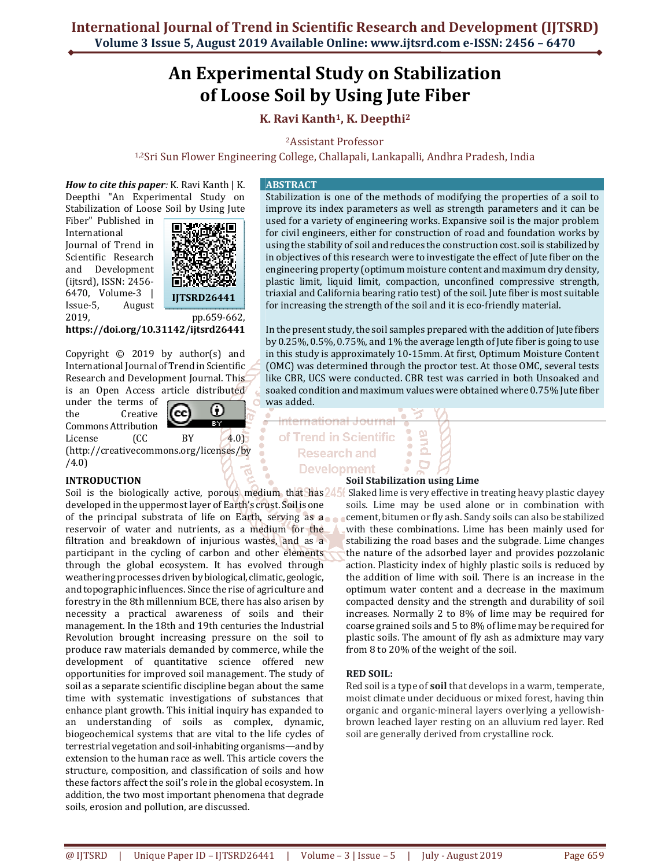# **An Experimental Study on Stabilization of Loose Soil by Using Jute Fiber**

# **K. Ravi Kanth1, K. Deepthi<sup>2</sup>**

<sup>2</sup>Assistant Professor

1,2Sri Sun Flower Engineering College, Challapali, Lankapalli, Andhra Pradesh, India

*How to cite this paper:* K. Ravi Kanth | K. Deepthi "An Experimental Study on Stabilization of Loose Soil by Using Jute

Fiber" Published in International Journal of Trend in Scientific Research and Development (ijtsrd), ISSN: 2456- 6470, Volume-3 | Issue-5, August 2019, pp.659-662,



**https://doi.org/10.31142/ijtsrd26441**

Copyright © 2019 by author(s) and International Journal of Trend in Scientific Research and Development Journal. This is an Open Access article distributed

under the terms of the Creative Commons Attribution



License (CC BY 4.0) (http://creativecommons.org/licenses/by /4.0)

# **INTRODUCTION**

Soil is the biologically active, porous medium that has  $245$  Slaked lime is very effective in treating heavy plastic clayey developed in the uppermost layer of Earth's crust. Soil is one of the principal substrata of life on Earth, serving as a reservoir of water and nutrients, as a medium for the filtration and breakdown of injurious wastes, and as a participant in the cycling of carbon and other elements through the global ecosystem. It has evolved through weathering processes driven by biological, climatic, geologic, and topographic influences. Since the rise of agriculture and forestry in the 8th millennium BCE, there has also arisen by necessity a practical awareness of soils and their management. In the 18th and 19th centuries the Industrial Revolution brought increasing pressure on the soil to produce raw materials demanded by commerce, while the development of quantitative science offered new opportunities for improved soil management. The study of soil as a separate scientific discipline began about the same time with systematic investigations of substances that enhance plant growth. This initial inquiry has expanded to an understanding of soils as complex, dynamic, biogeochemical systems that are vital to the life cycles of terrestrial vegetation and soil-inhabiting organisms—and by extension to the human race as well. This article covers the structure, composition, and classification of soils and how these factors affect the soil's role in the global ecosystem. In addition, the two most important phenomena that degrade soils, erosion and pollution, are discussed.

#### **ABSTRACT**

Stabilization is one of the methods of modifying the properties of a soil to improve its index parameters as well as strength parameters and it can be used for a variety of engineering works. Expansive soil is the major problem for civil engineers, either for construction of road and foundation works by using the stability of soil and reduces the construction cost. soil is stabilized by in objectives of this research were to investigate the effect of Jute fiber on the engineering property (optimum moisture content and maximum dry density, plastic limit, liquid limit, compaction, unconfined compressive strength, triaxial and California bearing ratio test) of the soil. Jute fiber is most suitable for increasing the strength of the soil and it is eco-friendly material.

In the present study, the soil samples prepared with the addition of Jute fibers by 0.25%, 0.5%, 0.75%, and 1% the average length of Jute fiber is going to use in this study is approximately 10-15mm. At first, Optimum Moisture Content (OMC) was determined through the proctor test. At those OMC, several tests like CBR, UCS were conducted. CBR test was carried in both Unsoaked and soaked condition and maximum values were obtained where 0.75% Jute fiber was added.

# of Trend in Scientific **Research and Development**

# **Soil Stabilization using Lime**

9<br>D

 $\Omega$ 

soils. Lime may be used alone or in combination with cement, bitumen or fly ash. Sandy soils can also be stabilized with these combinations. Lime has been mainly used for stabilizing the road bases and the subgrade. Lime changes the nature of the adsorbed layer and provides pozzolanic action. Plasticity index of highly plastic soils is reduced by the addition of lime with soil. There is an increase in the optimum water content and a decrease in the maximum compacted density and the strength and durability of soil increases. Normally 2 to 8% of lime may be required for coarse grained soils and 5 to 8% of lime may be required for plastic soils. The amount of fly ash as admixture may vary from 8 to 20% of the weight of the soil.

# **RED SOIL:**

Red soil is a type of **soil** that develops in a warm, temperate, moist climate under deciduous or mixed forest, having thin organic and organic-mineral layers overlying a yellowishbrown leached layer resting on an alluvium red layer. Red soil are generally derived from crystalline rock.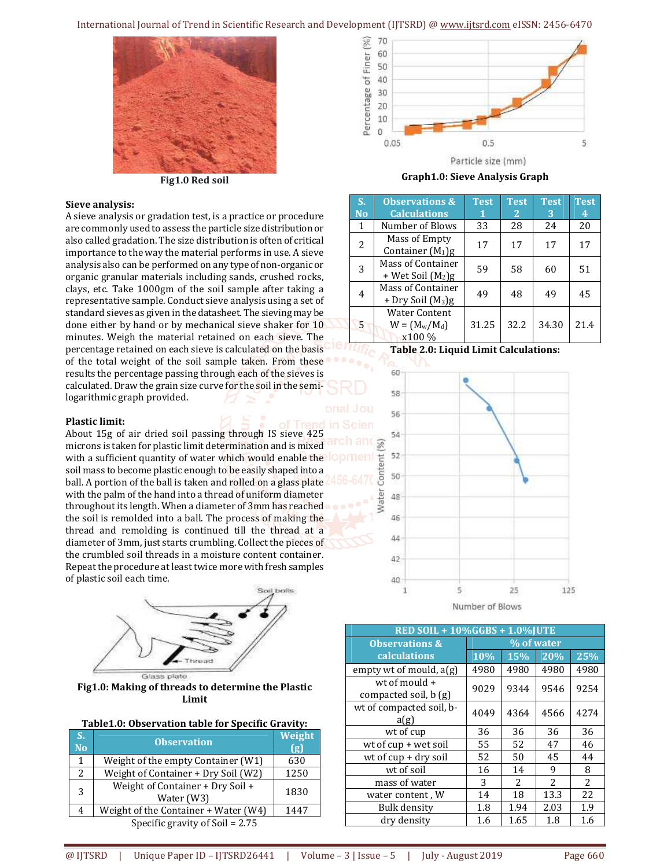International Journal of Trend in Scientific Research and Development (IJTSRD) @ www.ijtsrd.com eISSN: 2456-6470



**Fig1.0 Red soil**

#### **Sieve analysis:**

A sieve analysis or gradation test, is a practice or procedure are commonly used to assess the particle size distribution or also called gradation. The size distribution is often of critical importance to the way the material performs in use. A sieve analysis also can be performed on any type of non-organic or organic granular materials including sands, crushed rocks, clays, etc. Take 1000gm of the soil sample after taking a representative sample. Conduct sieve analysis using a set of standard sieves as given in the datasheet. The sieving may be done either by hand or by mechanical sieve shaker for 10 minutes. Weigh the material retained on each sieve. The percentage retained on each sieve is calculated on the basis of the total weight of the soil sample taken. From these results the percentage passing through each of the sieves is calculated. Draw the grain size curve for the soil in the semilogarithmic graph provided.

#### **Plastic limit:**

About 15g of air dried soil passing through IS sieve 425 microns is taken for plastic limit determination and is mixed with a sufficient quantity of water which would enable the OPI soil mass to become plastic enough to be easily shaped into a ball. A portion of the ball is taken and rolled on a glass plate with the palm of the hand into a thread of uniform diameter throughout its length. When a diameter of 3mm has reached the soil is remolded into a ball. The process of making the thread and remolding is continued till the thread at a diameter of 3mm, just starts crumbling. Collect the pieces of the crumbled soil threads in a moisture content container. Repeat the procedure at least twice more with fresh samples of plastic soil each time.



**Fig1.0: Making of threads to determine the Plastic Limit** 

# **Table1.0: Observation table for Specific Gravity:**

| S.<br><b>No</b>                 | <b>Observation</b>                             | Weight<br>(g) |  |  |  |  |
|---------------------------------|------------------------------------------------|---------------|--|--|--|--|
| 1                               | Weight of the empty Container (W1)             | 630           |  |  |  |  |
| $\overline{2}$                  | Weight of Container + Dry Soil (W2)            | 1250          |  |  |  |  |
| 3                               | Weight of Container + Dry Soil +<br>Water (W3) | 1830          |  |  |  |  |
| 4                               | Weight of the Container + Water (W4)           | 1447          |  |  |  |  |
| Specific gravity of Soil = 2.75 |                                                |               |  |  |  |  |



**Graph1.0: Sieve Analysis Graph** 

| S.<br><b>No</b> | <b>Observations &amp;</b><br><b>Calculations</b>          | <b>Test</b> | <b>Test</b><br>$\overline{2}$ | <b>Test</b><br>3 | <b>Test</b><br>4 |
|-----------------|-----------------------------------------------------------|-------------|-------------------------------|------------------|------------------|
| 1               | Number of Blows                                           | 33          | 28                            | 24               | 20               |
| 2               | Mass of Empty<br>Container $(M_1)g$                       | 17          | 17                            | 17               | 17               |
| 3               | <b>Mass of Container</b><br>+ Wet Soil (M <sub>2</sub> )g | 59          | 58                            | 60               | 51               |
| 4               | Mass of Container<br>$+$ Dry Soil $(M_3)g$                | 49          | 48                            | 49               | 45               |
| 5               | <b>Water Content</b><br>$W = (M_w/M_d)$<br>x100 %         | 31.25       | 32.2                          | 34.30            | 21.4             |





| RED SOIL + $10\%$ GGBS + $1.0\%$ JUTE  |            |      |      |                |  |  |  |
|----------------------------------------|------------|------|------|----------------|--|--|--|
| <b>Observations &amp;</b>              | % of water |      |      |                |  |  |  |
| calculations                           | 10%        | 15%  | 20%  | 25%            |  |  |  |
| empty wt of mould, $a(g)$              | 4980       | 4980 | 4980 | 4980           |  |  |  |
| wt of mould +<br>compacted soil, b (g) | 9029       | 9344 | 9546 | 9254           |  |  |  |
| wt of compacted soil, b-<br>a(g)       | 4049       | 4364 | 4566 | 4274           |  |  |  |
| wt of cup                              | 36         | 36   | 36   | 36             |  |  |  |
| wt of cup + wet soil                   | 55         | 52   | 47   | 46             |  |  |  |
| wt of $cup + dry$ soil                 | 52         | 50   | 45   | 44             |  |  |  |
| wt of soil                             | 16         | 14   | 9    | 8              |  |  |  |
| mass of water                          | 3          | 2    | 2    | $\overline{c}$ |  |  |  |
| water content, W                       | 14         | 18   | 13.3 | 22             |  |  |  |
| Bulk density                           | 1.8        | 1.94 | 2.03 | 1.9            |  |  |  |
| dry density                            | 1.6        | 1.65 | 1.8  | 1.6            |  |  |  |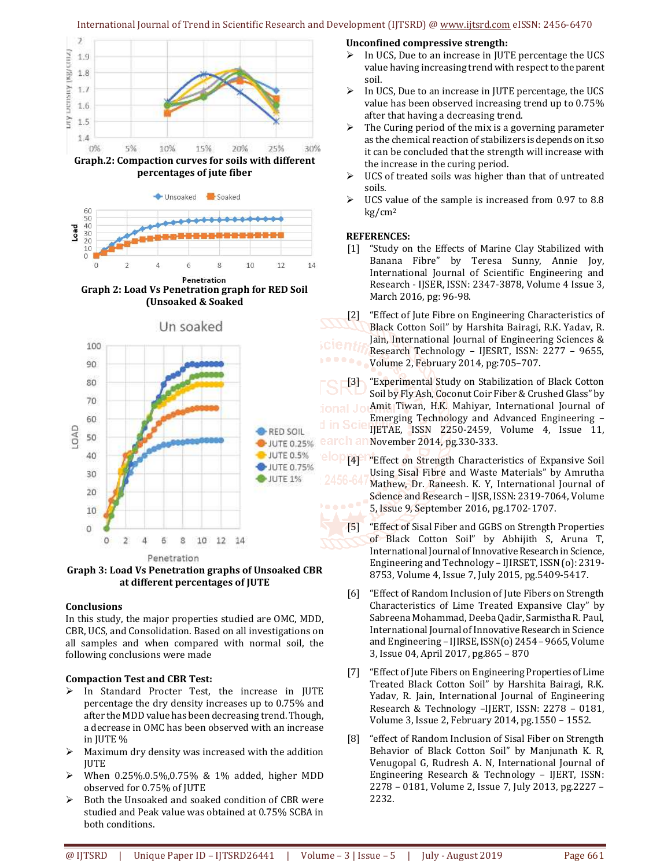#### International Journal of Trend in Scientific Research and Development (IJTSRD) @ www.ijtsrd.com eISSN: 2456-6470



**percentages of jute fiber**



**Graph 2: Load Vs Penetration graph for RED Soil (Unsoaked & Soaked**



**Graph 3: Load Vs Penetration graphs of Unsoaked CBR at different percentages of JUTE**

#### **Conclusions**

In this study, the major properties studied are OMC, MDD, CBR, UCS, and Consolidation. Based on all investigations on all samples and when compared with normal soil, the following conclusions were made

#### **Compaction Test and CBR Test:**

- In Standard Procter Test, the increase in JUTE percentage the dry density increases up to 0.75% and after the MDD value has been decreasing trend. Though, a decrease in OMC has been observed with an increase in JUTE %
- $\triangleright$  Maximum dry density was increased with the addition **JUTE**
- $\triangleright$  When 0.25%.0.5%,0.75% & 1% added, higher MDD observed for 0.75% of JUTE
- $\triangleright$  Both the Unsoaked and soaked condition of CBR were studied and Peak value was obtained at 0.75% SCBA in both conditions.

#### **Unconfined compressive strength:**

- $\triangleright$  In UCS, Due to an increase in JUTE percentage the UCS value having increasing trend with respect to the parent soil.
- $\triangleright$  In UCS, Due to an increase in JUTE percentage, the UCS value has been observed increasing trend up to 0.75% after that having a decreasing trend.
- $\triangleright$  The Curing period of the mix is a governing parameter as the chemical reaction of stabilizers is depends on it.so it can be concluded that the strength will increase with the increase in the curing period.
- $\triangleright$  UCS of treated soils was higher than that of untreated soils.
- UCS value of the sample is increased from 0.97 to 8.8 kg/cm<sup>2</sup>

#### **REFERENCES:**

[1] "Study on the Effects of Marine Clay Stabilized with Banana Fibre" by Teresa Sunny, Annie Joy, International Journal of Scientific Engineering and Research - IJSER, ISSN: 2347-3878, Volume 4 Issue 3, March 2016, pg: 96-98.

[2] "Effect of Jute Fibre on Engineering Characteristics of Black Cotton Soil" by Harshita Bairagi, R.K. Yadav, R. Jain, International Journal of Engineering Sciences & Research Technology – IJESRT, ISSN: 2277 – 9655, Volume 2, February 2014, pg:705–707.

[3] "Experimental Study on Stabilization of Black Cotton Soil by Fly Ash, Coconut Coir Fiber & Crushed Glass" by Amit Tiwan, H.K. Mahiyar, International Journal of Emerging Technology and Advanced Engineering – IJETAE, ISSN 2250-2459, Volume 4, Issue 11, November 2014, pg.330-333.

- [4] "Effect on Strength Characteristics of Expansive Soil Using Sisal Fibre and Waste Materials" by Amrutha Mathew, Dr. Raneesh. K. Y, International Journal of Science and Research – IJSR, ISSN: 2319-7064, Volume 5, Issue 9, September 2016, pg.1702-1707.
- [5] "Effect of Sisal Fiber and GGBS on Strength Properties of Black Cotton Soil" by Abhijith S, Aruna T, International Journal of Innovative Research in Science, Engineering and Technology – IJIRSET, ISSN (o): 2319- 8753, Volume 4, Issue 7, July 2015, pg.5409-5417.
- [6] "Effect of Random Inclusion of Jute Fibers on Strength Characteristics of Lime Treated Expansive Clay" by Sabreena Mohammad, Deeba Qadir, Sarmistha R. Paul, International Journal of Innovative Research in Science and Engineering – IJIRSE, ISSN(o) 2454 – 9665, Volume 3, Issue 04, April 2017, pg.865 – 870
- [7] "Effect of Jute Fibers on Engineering Properties of Lime Treated Black Cotton Soil" by Harshita Bairagi, R.K. Yadav, R. Jain, International Journal of Engineering Research & Technology –IJERT, ISSN: 2278 – 0181, Volume 3, Issue 2, February 2014, pg.1550 – 1552.
- [8] "effect of Random Inclusion of Sisal Fiber on Strength Behavior of Black Cotton Soil" by Manjunath K. R, Venugopal G, Rudresh A. N, International Journal of Engineering Research & Technology – IJERT, ISSN: 2278 – 0181, Volume 2, Issue 7, July 2013, pg.2227 – 2232.

Un soaked